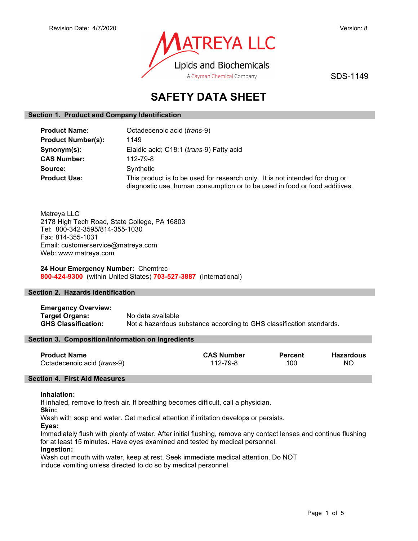

SDS-1149

# SAFETY DATA SHEET

# Section 1. Product and Company Identification

| <b>Product Name:</b>      | Octadecenoic acid (trans-9)                                                                                                                                |
|---------------------------|------------------------------------------------------------------------------------------------------------------------------------------------------------|
| <b>Product Number(s):</b> | 1149                                                                                                                                                       |
| Synonym(s):               | Elaidic acid; C18:1 (trans-9) Fatty acid                                                                                                                   |
| <b>CAS Number:</b>        | 112-79-8                                                                                                                                                   |
| Source:                   | Synthetic                                                                                                                                                  |
| <b>Product Use:</b>       | This product is to be used for research only. It is not intended for drug or<br>diagnostic use, human consumption or to be used in food or food additives. |

Matreya LLC 2178 High Tech Road, State College, PA 16803 Tel: 800-342-3595/814-355-1030 Fax: 814-355-1031 Email: customerservice@matreya.com Web: www.matreya.com

24 Hour Emergency Number: Chemtrec 800-424-9300 (within United States) 703-527-3887 (International)

# Section 2. Hazards Identification

Emergency Overview: Target Organs: No data available GHS Classification: Not a hazardous substance according to GHS classification standards.

# Section 3. Composition/Information on Ingredients

| <b>Product Name</b>                  | <b>CAS Number</b> | <b>Percent</b> | Hazardous |
|--------------------------------------|-------------------|----------------|-----------|
| Octadecenoic acid ( <i>trans-9</i> ) | 112-79-8          | 100            | NC        |

# Section 4. First Aid Measures

# Inhalation:

If inhaled, remove to fresh air. If breathing becomes difficult, call a physician.

Skin:

Wash with soap and water. Get medical attention if irritation develops or persists.

Eyes:

Immediately flush with plenty of water. After initial flushing, remove any contact lenses and continue flushing for at least 15 minutes. Have eyes examined and tested by medical personnel.

# Ingestion:

Wash out mouth with water, keep at rest. Seek immediate medical attention. Do NOT induce vomiting unless directed to do so by medical personnel.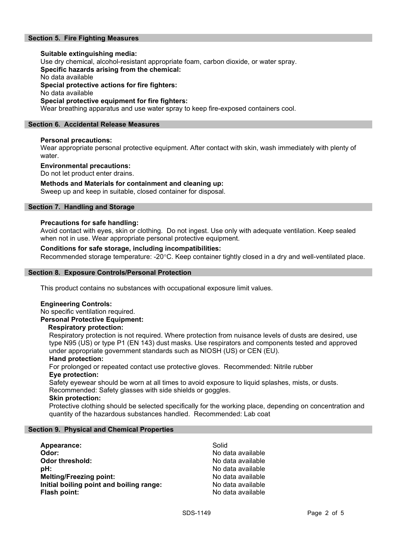# Section 5. Fire Fighting Measures

# Suitable extinguishing media: Use dry chemical, alcohol-resistant appropriate foam, carbon dioxide, or water spray. Specific hazards arising from the chemical: No data available Special protective actions for fire fighters: No data available Special protective equipment for fire fighters:

# Wear breathing apparatus and use water spray to keep fire-exposed containers cool.

# Section 6. Accidental Release Measures

# Personal precautions:

Wear appropriate personal protective equipment. After contact with skin, wash immediately with plenty of water.

### Environmental precautions:

Do not let product enter drains.

### Methods and Materials for containment and cleaning up:

Sweep up and keep in suitable, closed container for disposal.

# Section 7. Handling and Storage

### Precautions for safe handling:

Avoid contact with eyes, skin or clothing. Do not ingest. Use only with adequate ventilation. Keep sealed when not in use. Wear appropriate personal protective equipment.

# Conditions for safe storage, including incompatibilities:

Recommended storage temperature: -20°C. Keep container tightly closed in a dry and well-ventilated place.

### Section 8. Exposure Controls/Personal Protection

This product contains no substances with occupational exposure limit values.

### Engineering Controls:

No specific ventilation required. Personal Protective Equipment:

### Respiratory protection:

Respiratory protection is not required. Where protection from nuisance levels of dusts are desired, use type N95 (US) or type P1 (EN 143) dust masks. Use respirators and components tested and approved under appropriate government standards such as NIOSH (US) or CEN (EU).

### Hand protection:

For prolonged or repeated contact use protective gloves. Recommended: Nitrile rubber Eye protection:

Safety eyewear should be worn at all times to avoid exposure to liquid splashes, mists, or dusts. Recommended: Safety glasses with side shields or goggles.

### Skin protection:

Protective clothing should be selected specifically for the working place, depending on concentration and quantity of the hazardous substances handled. Recommended: Lab coat

### Section 9. Physical and Chemical Properties

| Appearance:                              | Solid             |
|------------------------------------------|-------------------|
| Odor:                                    | No data available |
| <b>Odor threshold:</b>                   | No data available |
| pH:                                      | No data available |
| <b>Melting/Freezing point:</b>           | No data available |
| Initial boiling point and boiling range: | No data available |
| Flash point:                             | No data available |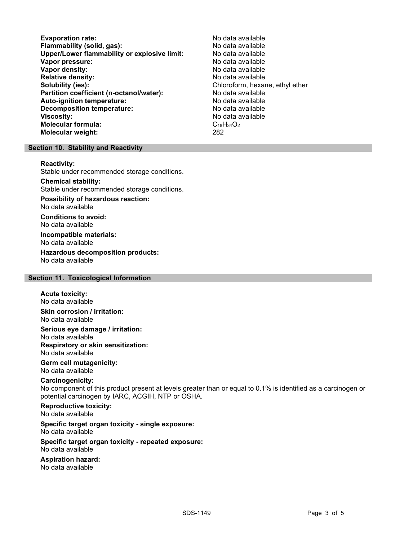Evaporation rate:<br>
Flammability (solid. gas): No data available Flammability (solid, gas):<br>
Upper/Lower flammability or explosive limit: No data available Upper/Lower flammability or explosive limit: Vapor pressure:  $\blacksquare$ Vapor density: No data available Relative density:<br>
Solubility (ies):<br>
Solubility (ies):<br>
No data available<br>
Chloroform, hexar Partition coefficient (n-octanol/water): No data available Auto-ignition temperature: No data available Decomposition temperature: No data available Viscosity: No data available Molecular formula: C<sub>18</sub>H<sub>34</sub>O<sub>2</sub> Molecular weight: 282

Chloroform, hexane, ethyl ether

### Section 10. Stability and Reactivity

#### Reactivity:

Stable under recommended storage conditions.

### Chemical stability:

Stable under recommended storage conditions.

# Possibility of hazardous reaction:

No data available

Conditions to avoid: No data available

### Incompatible materials: No data available

Hazardous decomposition products: No data available

# Section 11. Toxicological Information

#### Acute toxicity: No data available

Skin corrosion / irritation: No data available

Serious eye damage / irritation: No data available Respiratory or skin sensitization: No data available

### Germ cell mutagenicity: No data available

# Carcinogenicity:

No component of this product present at levels greater than or equal to 0.1% is identified as a carcinogen or potential carcinogen by IARC, ACGIH, NTP or OSHA.

# Reproductive toxicity:

No data available

# Specific target organ toxicity - single exposure:

No data available

#### Specific target organ toxicity - repeated exposure: No data available

# Aspiration hazard:

No data available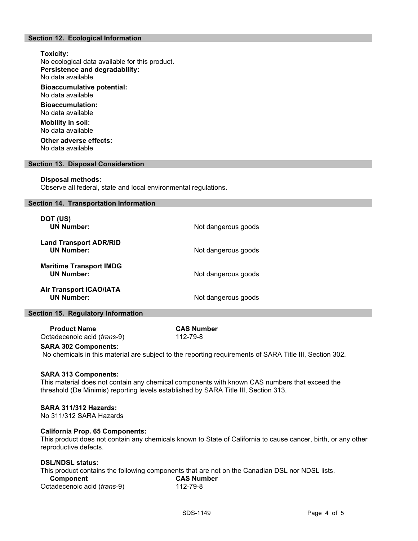# Section 12. Ecological Information

# Toxicity: No ecological data available for this product. Persistence and degradability: No data available Bioaccumulative potential: No data available Bioaccumulation: No data available Mobility in soil: No data available

Other adverse effects: No data available

### Section 13. Disposal Consideration

#### Disposal methods:

Observe all federal, state and local environmental regulations.

#### Section 14. Transportation Information

| DOT (US)<br><b>UN Number:</b>                       | Not dangerous goods |
|-----------------------------------------------------|---------------------|
| <b>Land Transport ADR/RID</b><br><b>UN Number:</b>  | Not dangerous goods |
| <b>Maritime Transport IMDG</b><br><b>UN Number:</b> | Not dangerous goods |
| <b>Air Transport ICAO/IATA</b><br><b>UN Number:</b> | Not dangerous goods |

### Section 15. Regulatory Information

Product Name CAS Number Octadecenoic acid (trans-9) 112-79-8

### SARA 302 Components:

No chemicals in this material are subject to the reporting requirements of SARA Title III, Section 302.

### SARA 313 Components:

This material does not contain any chemical components with known CAS numbers that exceed the threshold (De Minimis) reporting levels established by SARA Title III, Section 313.

### SARA 311/312 Hazards:

No 311/312 SARA Hazards

### California Prop. 65 Components:

This product does not contain any chemicals known to State of California to cause cancer, birth, or any other reproductive defects.

# DSL/NDSL status:

This product contains the following components that are not on the Canadian DSL nor NDSL lists.

| Component                   | <b>CAS Number</b> |
|-----------------------------|-------------------|
| Octadecenoic acid (trans-9) | 112-79-8          |